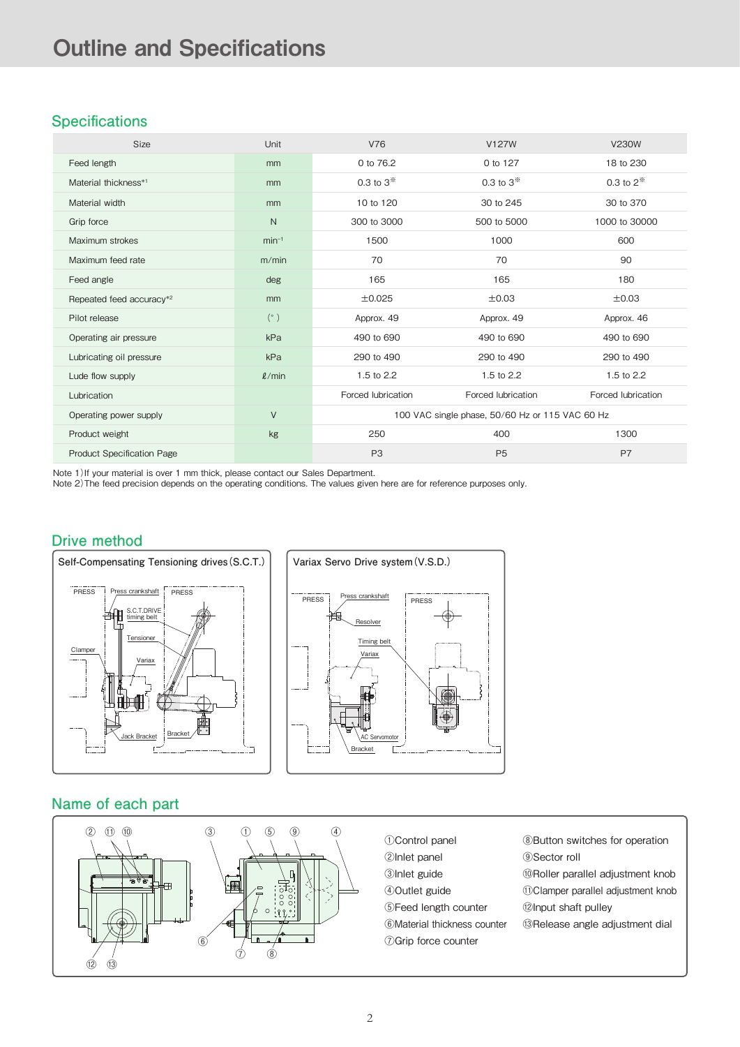# **Specifications**

| <b>Size</b>                       | Unit        | <b>V76</b>                                      | V127W              | <b>V230W</b>       |
|-----------------------------------|-------------|-------------------------------------------------|--------------------|--------------------|
| Feed length                       | mm          | 0 to 76.2                                       | 0 to 127           | 18 to 230          |
| Material thickness*1              | mm          | 0.3 to $3*$                                     | 0.3 to $3^{*}$     | 0.3 to $2^{*}$     |
| Material width                    | mm          | 10 to 120                                       | 30 to 245          | 30 to 370          |
| Grip force                        | N           | 300 to 3000                                     | 500 to 5000        | 1000 to 30000      |
| Maximum strokes                   | $min-1$     | 1500                                            | 1000               | 600                |
| Maximum feed rate                 | m/min       | 70                                              | 70                 | 90                 |
| Feed angle                        | deg         | 165                                             | 165                | 180                |
| Repeated feed accuracy*2          | mm          | ±0.025                                          | ±0.03              | ±0.03              |
| Pilot release                     | (°)         | Approx. 49                                      | Approx. 49         | Approx. 46         |
| Operating air pressure            | kPa         | 490 to 690                                      | 490 to 690         | 490 to 690         |
| Lubricating oil pressure          | kPa         | 290 to 490                                      | 290 to 490         | 290 to 490         |
| Lude flow supply                  | $\ell$ /min | 1.5 to 2.2                                      | 1.5 to 2.2         | 1.5 to 2.2         |
| Lubrication                       |             | Forced lubrication                              | Forced lubrication | Forced lubrication |
| Operating power supply            | V           | 100 VAC single phase, 50/60 Hz or 115 VAC 60 Hz |                    |                    |
| Product weight                    | kg          | 250                                             | 400                | 1300               |
| <b>Product Specification Page</b> |             | P <sub>3</sub>                                  | P <sub>5</sub>     | P7                 |

Note 1) If your material is over 1 mm thick, please contact our Sales Department.

Note 2)The feed precision depends on the operating conditions. The values given here are for reference purposes only.

### **Drive method**





### **Name of each part**

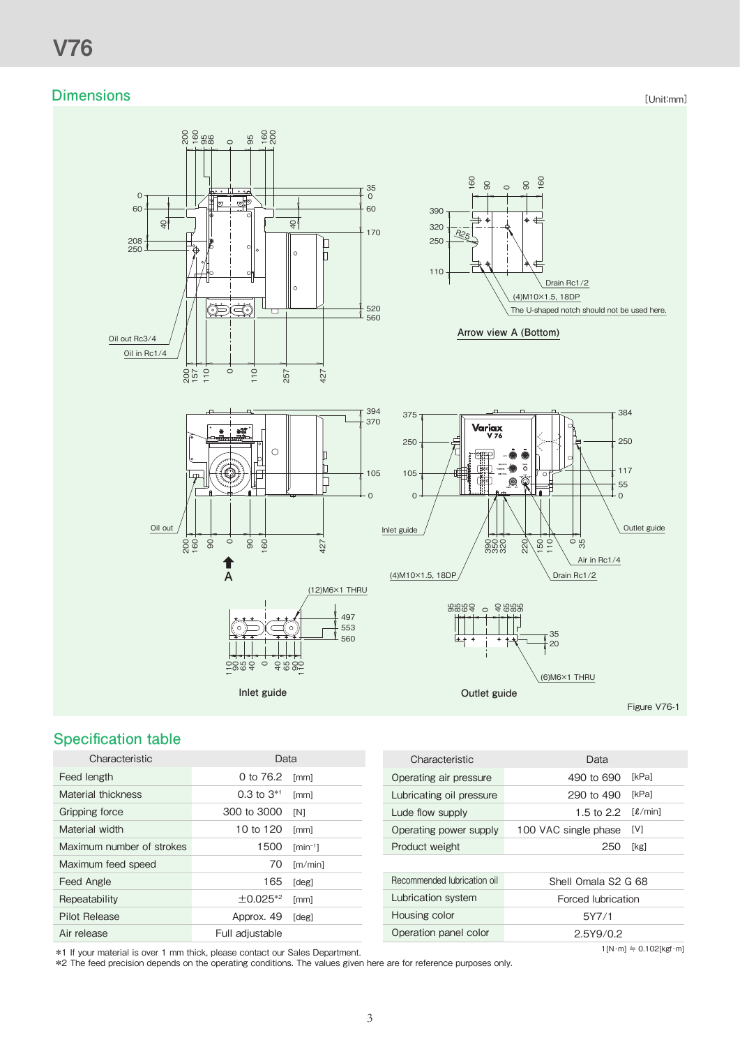### **Dimensions**

[Unit:mm]



# **Specification table**

|                   |                    | Characteristic              | Data               |
|-------------------|--------------------|-----------------------------|--------------------|
| 0 to 76.2         | $\lceil mm \rceil$ | Operating air pressure      | 490 to 6           |
| $0.3$ to $3^{*1}$ | [mm]               | Lubricating oil pressure    | 290 to 4           |
| 300 to 3000       | [N]                | Lude flow supply            | $1.5$ to $2$       |
| 10 to 120         | [mm]               | Operating power supply      | 100 VAC single pha |
| 1500              | $\text{fmin}^{-1}$ | Product weight              | 2                  |
| 70                | [m/min]            |                             |                    |
| 165               | [deg]              | Recommended lubrication oil | Shell Omala        |
| $\pm 0.025^{*2}$  | [mm]               | Lubrication system          | Forced lubi        |
| Approx. 49        | [deg]              | Housing color               | 5Y7/               |
| Full adjustable   |                    | Operation panel color       | 2.5Y9/             |
|                   |                    | Data                        |                    |

| Characteristic              | Data                 |                                     |
|-----------------------------|----------------------|-------------------------------------|
| Operating air pressure      | 490 to 690           | [kPa]                               |
| Lubricating oil pressure    | 290 to 490           | [kPa]                               |
| Lude flow supply            | 1.5 to 2.2           | $\lceil \ell / \text{min} \rceil$   |
| Operating power supply      | 100 VAC single phase | [V]                                 |
| Product weight              | 250                  | [kg]                                |
|                             |                      |                                     |
| Recommended Jubrication oil | Shell Omala S2 G 68  |                                     |
| Lubrication system          | Forced lubrication   |                                     |
| Housing color               | 5Y7/1                |                                     |
| Operation panel color       | 2.5Y9/0.2            |                                     |
|                             |                      | $1[N \cdot m] = 0.102[kgf \cdot m]$ |

\*1 If your material is over 1 mm thick, please contact our Sales Department.

\*2 The feed precision depends on the operating conditions. The values given here are for reference purposes only.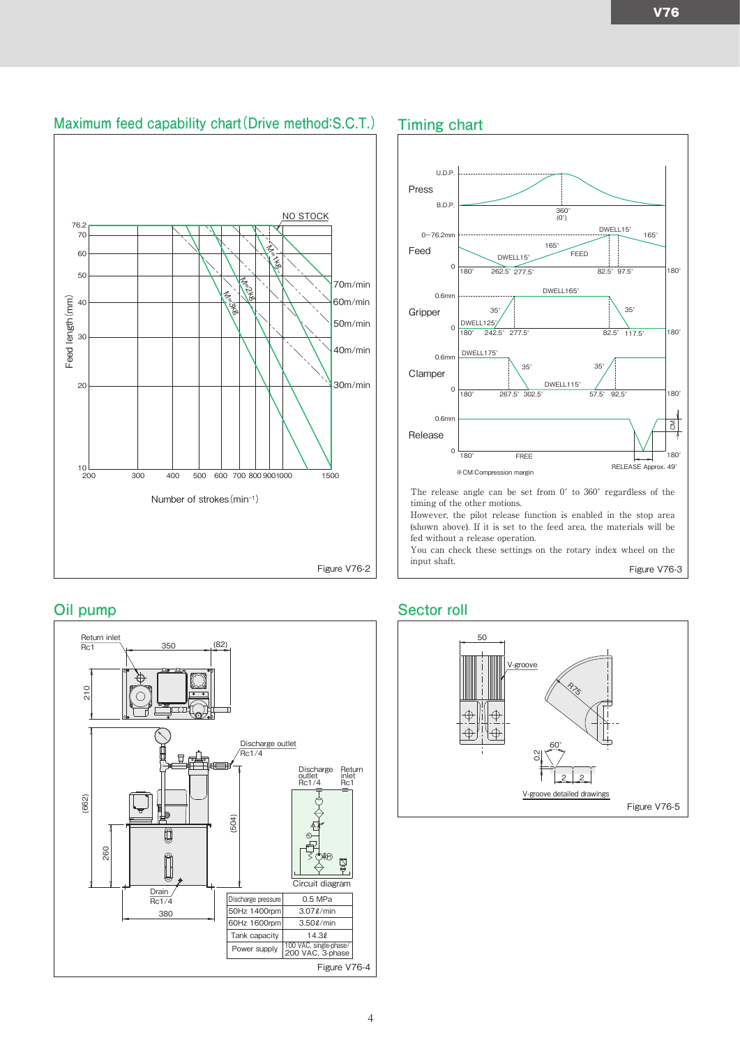



#### **Oil pump**





### **Sector roll**

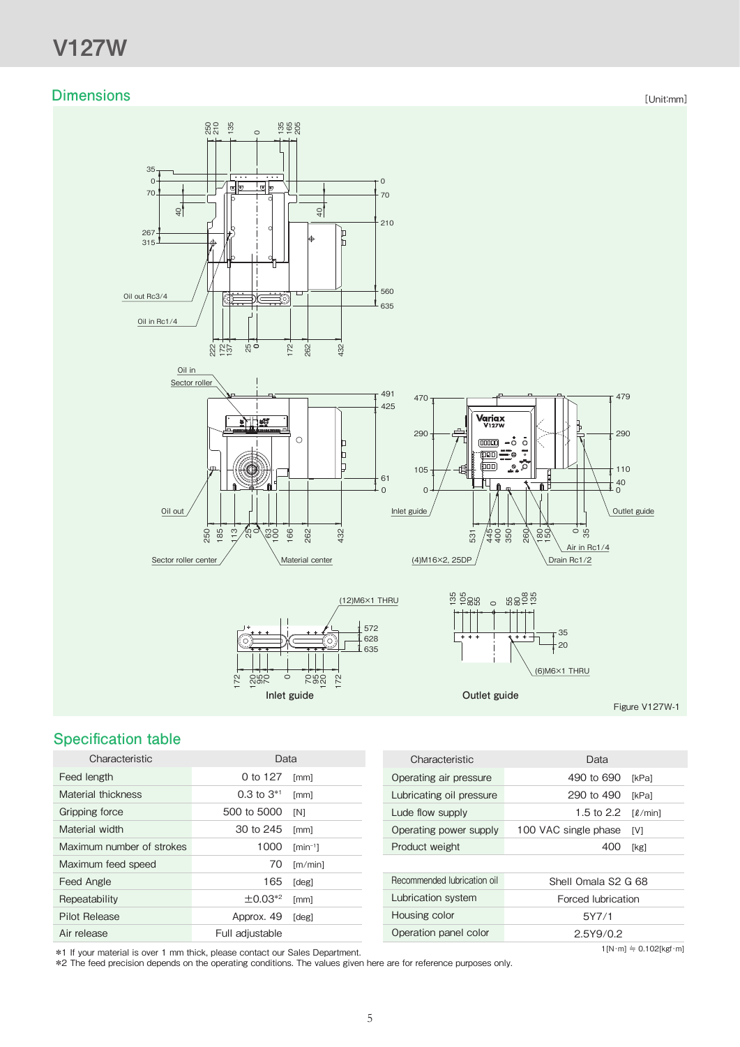# **Dimensions**

[Unit:mm]



# **Specification table**

| Characteristic            | Data            |                                 |
|---------------------------|-----------------|---------------------------------|
| Feed length               | 0 to 127        | [mm]                            |
| Material thickness        | $0.3$ to $3*1$  | [mm]                            |
| Gripping force            | 500 to 5000     | [N]                             |
| Material width            | 30 to 245       | [mm]                            |
| Maximum number of strokes | 1000            | $\lceil \text{min}^{-1} \rceil$ |
| Maximum feed speed        | 70              | [m/min]                         |
| Feed Angle                | 165             | [deg]                           |
| Repeatability             | $\pm 0.03^{*2}$ | [mm]                            |
| Pilot Release             | Approx. 49      | [deg]                           |
| Air release               | Full adjustable |                                 |

| Characteristic              | Data                 |                                          |
|-----------------------------|----------------------|------------------------------------------|
| Operating air pressure      | 490 to 690           | [kPa]                                    |
| Lubricating oil pressure    | 290 to 490           | [kPa]                                    |
| Lude flow supply            | 1.5 to $2.2$         | $\lceil \ell / \text{min} \rceil$        |
| Operating power supply      | 100 VAC single phase | [V]                                      |
| Product weight              | 400                  | [kg]                                     |
|                             |                      |                                          |
| Recommended lubrication oil | Shell Omala S2 G 68  |                                          |
| Lubrication system          | Forced lubrication   |                                          |
| Housing color               | 5Y7/1                |                                          |
| Operation panel color       | 2.5Y9/0.2            |                                          |
|                             |                      | $1[N \cdot m] \doteq 0.102[kgf \cdot m]$ |

\*1 If your material is over 1 mm thick, please contact our Sales Department.

\*2 The feed precision depends on the operating conditions. The values given here are for reference purposes only.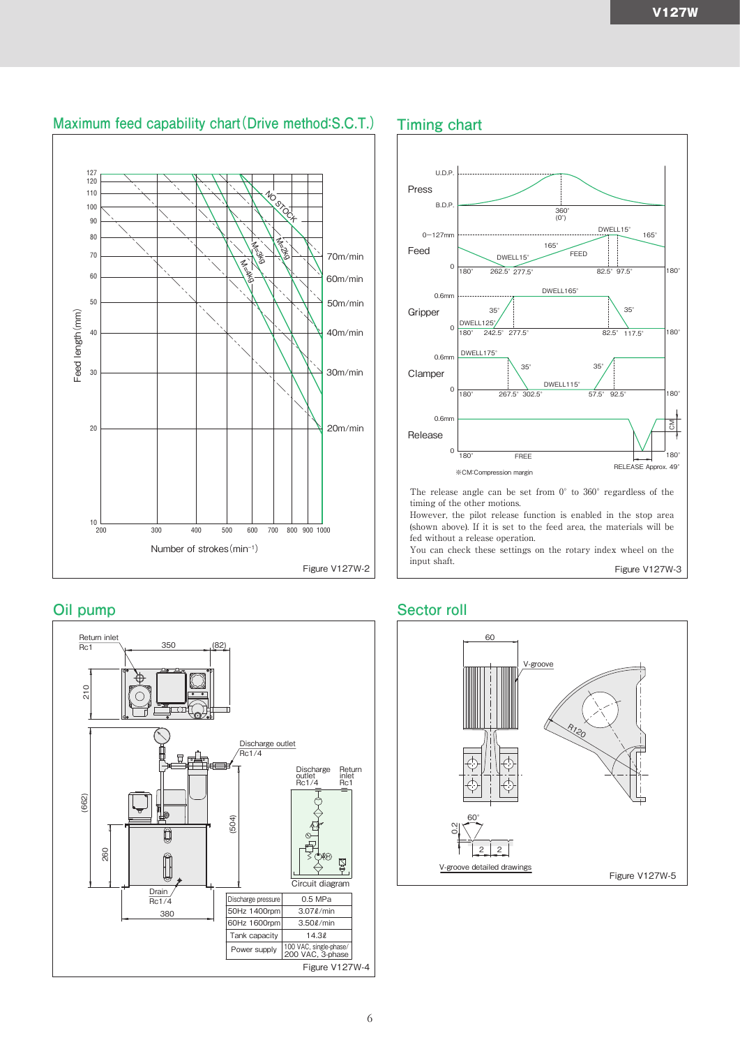# **Maximum feed capability chart(Drive method:S.C.T.) Timing chart**



#### **Oil pump**





### **Sector roll**

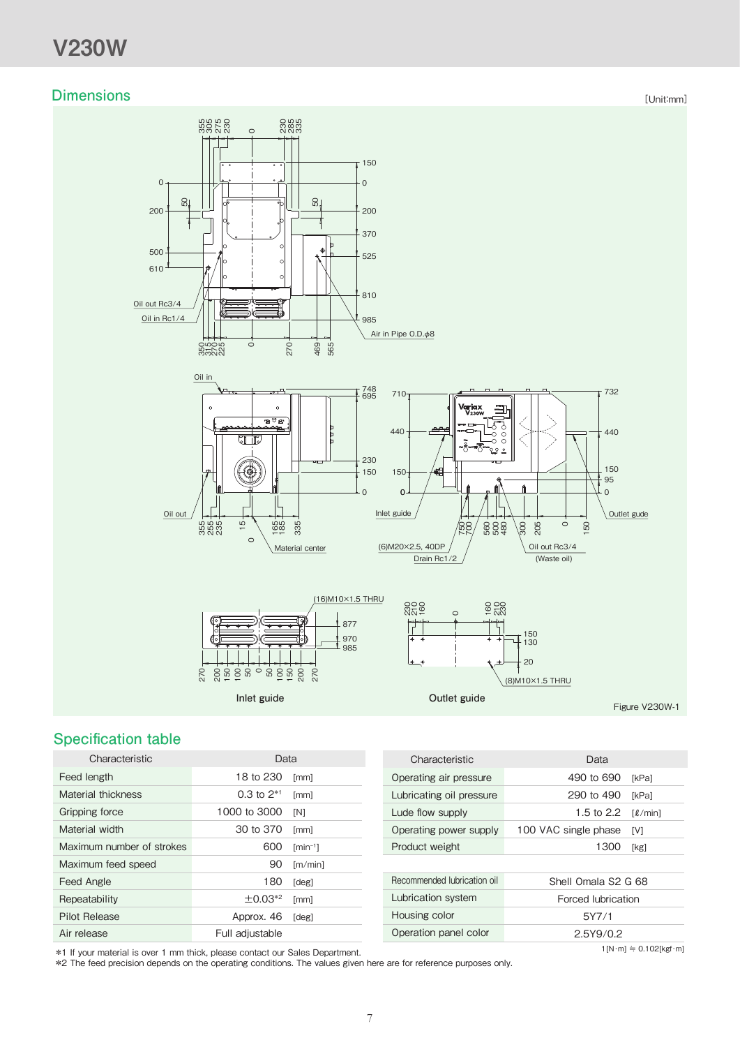# V230W

### **Dimensions**

[Unit:mm]



# **Specification table**

| Characteristic            | Data            |                                 |       |
|---------------------------|-----------------|---------------------------------|-------|
| Feed length               | 18 to 230       | [mm]                            | Oper  |
| Material thickness        | 0.3 to $2^{*1}$ | [mm]                            | Lubr  |
| Gripping force            | 1000 to 3000    | [N]                             | Lude  |
| Material width            | 30 to 370       | [mm]                            | Oper  |
| Maximum number of strokes | 600             | $\lceil \text{min}^{-1} \rceil$ | Proc  |
| Maximum feed speed        | 90              | [m/min]                         |       |
| Feed Angle                | 180             | [deg]                           | Recor |
| Repeatability             | $\pm 0.03^{*2}$ | [mm]                            | Lubr  |
| <b>Pilot Release</b>      | Approx. 46      | [deg]                           | Hous  |
| Air release               | Full adjustable |                                 | Oper  |
|                           |                 |                                 |       |

| Characteristic              | Data                 |                                   |
|-----------------------------|----------------------|-----------------------------------|
| Operating air pressure      | 490 to 690           | <b>IkPal</b>                      |
| Lubricating oil pressure    | 290 to 490           | <b>IkPal</b>                      |
| Lude flow supply            | 1.5 to 2.2           | $\lceil \ell / \text{min} \rceil$ |
| Operating power supply      | 100 VAC single phase | [V]                               |
| Product weight              | 1300                 | [kg]                              |
|                             |                      |                                   |
| Recommended lubrication oil | Shell Omala S2 G 68  |                                   |
| Lubrication system          | Forced lubrication   |                                   |
| Housing color               | 5Y7/1                |                                   |
| Operation panel color       | 2.5Y9/0.2            |                                   |
|                             |                      | $1[N \cdot m] = 0.102$ [kgf·m]    |

\*1 If your material is over 1 mm thick, please contact our Sales Department.

\*2 The feed precision depends on the operating conditions. The values given here are for reference purposes only.

 $1[N \cdot m] \doteq 0.102[\text{kgf} \cdot m]$